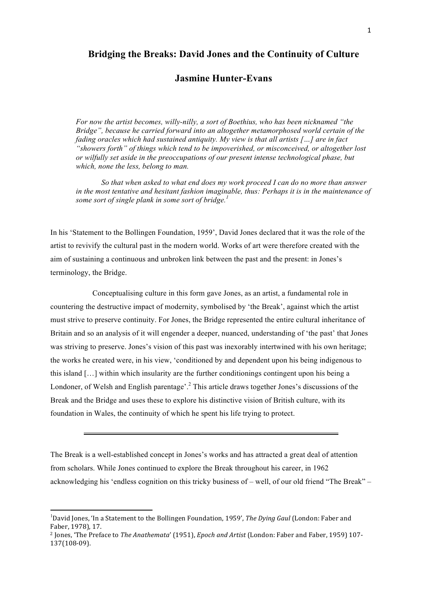## **Bridging the Breaks: David Jones and the Continuity of Culture**

## **Jasmine Hunter-Evans**

*For now the artist becomes, willy-nilly, a sort of Boethius, who has been nicknamed "the Bridge", because he carried forward into an altogether metamorphosed world certain of the fading oracles which had sustained antiquity. My view is that all artists […] are in fact "showers forth" of things which tend to be impoverished, or misconceived, or altogether lost or wilfully set aside in the preoccupations of our present intense technological phase, but which, none the less, belong to man.* 

*So that when asked to what end does my work proceed I can do no more than answer in the most tentative and hesitant fashion imaginable, thus: Perhaps it is in the maintenance of some sort of single plank in some sort of bridge.<sup>1</sup>*

In his 'Statement to the Bollingen Foundation, 1959', David Jones declared that it was the role of the artist to revivify the cultural past in the modern world. Works of art were therefore created with the aim of sustaining a continuous and unbroken link between the past and the present: in Jones's terminology, the Bridge.

Conceptualising culture in this form gave Jones, as an artist, a fundamental role in countering the destructive impact of modernity, symbolised by 'the Break', against which the artist must strive to preserve continuity. For Jones, the Bridge represented the entire cultural inheritance of Britain and so an analysis of it will engender a deeper, nuanced, understanding of 'the past' that Jones was striving to preserve. Jones's vision of this past was inexorably intertwined with his own heritage; the works he created were, in his view, 'conditioned by and dependent upon his being indigenous to this island […] within which insularity are the further conditionings contingent upon his being a Londoner, of Welsh and English parentage<sup>2</sup>.<sup>2</sup> This article draws together Jones's discussions of the Break and the Bridge and uses these to explore his distinctive vision of British culture, with its foundation in Wales, the continuity of which he spent his life trying to protect.

The Break is a well-established concept in Jones's works and has attracted a great deal of attention from scholars. While Jones continued to explore the Break throughout his career, in 1962 acknowledging his 'endless cognition on this tricky business of – well, of our old friend "The Break" –

 

<sup>&</sup>lt;sup>1</sup>David Jones, 'In a Statement to the Bollingen Foundation, 1959', *The Dying Gaul* (London: Faber and Faber, 1978), 17.

<sup>&</sup>lt;sup>2</sup> Jones, 'The Preface to *The Anathemata'* (1951), *Epoch and Artist* (London: Faber and Faber, 1959) 107-137(108-09).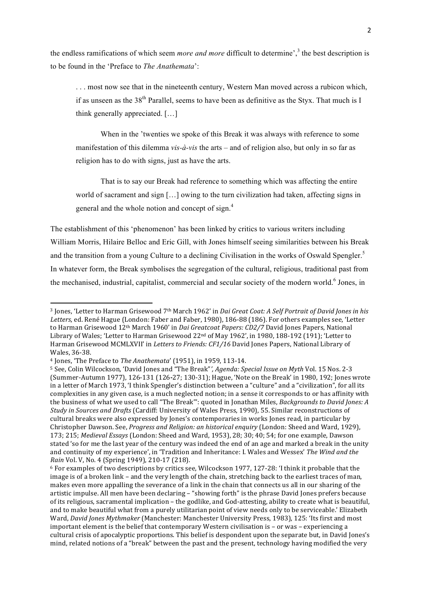the endless ramifications of which seem *more and more* difficult to determine',<sup>3</sup> the best description is to be found in the 'Preface to *The Anathemata*':

. . . most now see that in the nineteenth century, Western Man moved across a rubicon which, if as unseen as the 38<sup>th</sup> Parallel, seems to have been as definitive as the Styx. That much is I think generally appreciated. […]

When in the 'twenties we spoke of this Break it was always with reference to some manifestation of this dilemma *vis-à-vis* the arts – and of religion also, but only in so far as religion has to do with signs, just as have the arts.

That is to say our Break had reference to something which was affecting the entire world of sacrament and sign […] owing to the turn civilization had taken, affecting signs in general and the whole notion and concept of sign.<sup>4</sup>

The establishment of this 'phenomenon' has been linked by critics to various writers including William Morris, Hilaire Belloc and Eric Gill, with Jones himself seeing similarities between his Break and the transition from a young Culture to a declining Civilisation in the works of Oswald Spengler.<sup>5</sup> In whatever form, the Break symbolises the segregation of the cultural, religious, traditional past from the mechanised, industrial, capitalist, commercial and secular society of the modern world.<sup>6</sup> Jones. in

<u> 1989 - Jan Samuel Barbara, margaret e</u>

<sup>&</sup>lt;sup>3</sup> Jones, 'Letter to Harman Grisewood 7<sup>th</sup> March 1962' in *Dai Great Coat: A Self Portrait of David Jones in his* Letters, ed. René Hague (London: Faber and Faber, 1980), 186-88 (186). For others examples see, 'Letter to Harman Grisewood 12<sup>th</sup> March 1960' in *Dai Greatcoat Papers: CD2/7* David Jones Papers, National Library of Wales; 'Letter to Harman Grisewood  $22<sup>nd</sup>$  of May 1962', in 1980, 188-192 (191); 'Letter to Harman Grisewood MCMLXVII' in *Letters to Friends: CF1/16* David Jones Papers, National Library of Wales, 36-38.

<sup>&</sup>lt;sup>4</sup> Iones. 'The Preface to *The Anathemata'* (1951), in 1959, 113-14.

<sup>5</sup> See, Colin Wilcockson, 'David Jones and "The Break", *Agenda: Special Issue on Myth* Vol. 15 Nos. 2-3 (Summer-Autumn 1977), 126-131 (126-27; 130-31); Hague, 'Note on the Break' in 1980, 192; Jones wrote in a letter of March 1973, 'I think Spengler's distinction between a "culture" and a "civilization", for all its complexities in any given case, is a much neglected notion; in a sense it corresponds to or has affinity with the business of what we used to call "The Break"': quoted in Jonathan Miles, *Backgrounds to David Jones: A Study in Sources and Drafts* (Cardiff: University of Wales Press, 1990), 55. Similar reconstructions of cultural breaks were also expressed by Jones's contemporaries in works Jones read, in particular by Christopher Dawson. See, *Progress and Religion: an historical enguiry* (London: Sheed and Ward, 1929), 173; 215; *Medieval Essays* (London: Sheed and Ward, 1953), 28; 30; 40; 54; for one example, Dawson stated 'so for me the last year of the century was indeed the end of an age and marked a break in the unity and continuity of my experience', in 'Tradition and Inheritance: I. Wales and Wessex' The Wind and the *Rain* Vol. V, No. 4 (Spring 1949), 210-17 (218).

 $6$  For examples of two descriptions by critics see, Wilcockson 1977, 127-28: 'I think it probable that the image is of a broken link – and the very length of the chain, stretching back to the earliest traces of man, makes even more appalling the severance of a link in the chain that connects us all in our sharing of the artistic impulse. All men have been declaring  $-$  "showing forth" is the phrase David Jones prefers because of its religious, sacramental implication – the godlike, and God-attesting, ability to create what is beautiful, and to make beautiful what from a purely utilitarian point of view needs only to be serviceable.' Elizabeth Ward, *David Jones Mythmaker* (Manchester: Manchester University Press, 1983), 125: 'Its first and most important element is the belief that contemporary Western civilisation  $is - or was - experience$ cultural crisis of apocalyptic proportions. This belief is despondent upon the separate but, in David Jones's mind, related notions of a "break" between the past and the present, technology having modified the very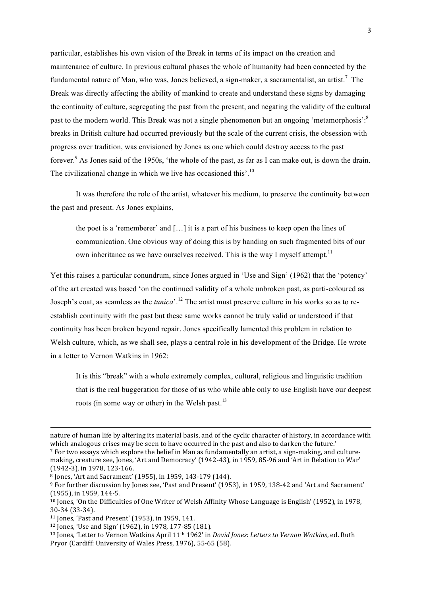particular, establishes his own vision of the Break in terms of its impact on the creation and maintenance of culture. In previous cultural phases the whole of humanity had been connected by the fundamental nature of Man, who was, Jones believed, a sign-maker, a sacramentalist, an artist.<sup>7</sup> The Break was directly affecting the ability of mankind to create and understand these signs by damaging the continuity of culture, segregating the past from the present, and negating the validity of the cultural past to the modern world. This Break was not a single phenomenon but an ongoing 'metamorphosis': $8$ breaks in British culture had occurred previously but the scale of the current crisis, the obsession with progress over tradition, was envisioned by Jones as one which could destroy access to the past forever.<sup>9</sup> As Jones said of the 1950s, 'the whole of the past, as far as I can make out, is down the drain. The civilizational change in which we live has occasioned this'.<sup>10</sup>

It was therefore the role of the artist, whatever his medium, to preserve the continuity between the past and present. As Jones explains,

the poet is a 'rememberer' and […] it is a part of his business to keep open the lines of communication. One obvious way of doing this is by handing on such fragmented bits of our own inheritance as we have ourselves received. This is the way I myself attempt.<sup>11</sup>

Yet this raises a particular conundrum, since Jones argued in 'Use and Sign' (1962) that the 'potency' of the art created was based 'on the continued validity of a whole unbroken past, as parti-coloured as Joseph's coat, as seamless as the *tunica*'.<sup>12</sup> The artist must preserve culture in his works so as to reestablish continuity with the past but these same works cannot be truly valid or understood if that continuity has been broken beyond repair. Jones specifically lamented this problem in relation to Welsh culture, which, as we shall see, plays a central role in his development of the Bridge. He wrote in a letter to Vernon Watkins in 1962:

It is this "break" with a whole extremely complex, cultural, religious and linguistic tradition that is the real buggeration for those of us who while able only to use English have our deepest roots (in some way or other) in the Welsh past. $^{13}$ 

<u> 1989 - Andrea Santa Andrea Andrea Andrea Andrea Andrea Andrea Andrea Andrea Andrea Andrea Andrea Andrea Andr</u>

12 Jones, 'Use and Sign' (1962), in 1978, 177-85 (181).

nature of human life by altering its material basis, and of the cyclic character of history, in accordance with which analogous crises may be seen to have occurred in the past and also to darken the future.' 7 For two essays which explore the belief in Man as fundamentally an artist, a sign-making, and culturemaking, creature see, Jones, 'Art and Democracy' (1942-43), in 1959, 85-96 and 'Art in Relation to War'

<sup>(1942-3),</sup> in 1978, 123-166.

 $8$  Jones, 'Art and Sacrament' (1955), in 1959, 143-179 (144).

<sup>&</sup>lt;sup>9</sup> For further discussion by Jones see, 'Past and Present' (1953), in 1959, 138-42 and 'Art and Sacrament' (1955), in 1959, 144-5.

<sup>&</sup>lt;sup>10</sup> Jones, 'On the Difficulties of One Writer of Welsh Affinity Whose Language is English' (1952), in 1978, 30-34 (33-34).

 $11$  Jones, 'Past and Present' (1953), in 1959, 141.

<sup>&</sup>lt;sup>13</sup> Jones, 'Letter to Vernon Watkins April 11<sup>th</sup> 1962' in *David Jones: Letters to Vernon Watkins*, ed. Ruth Pryor (Cardiff: University of Wales Press, 1976), 55-65 (58).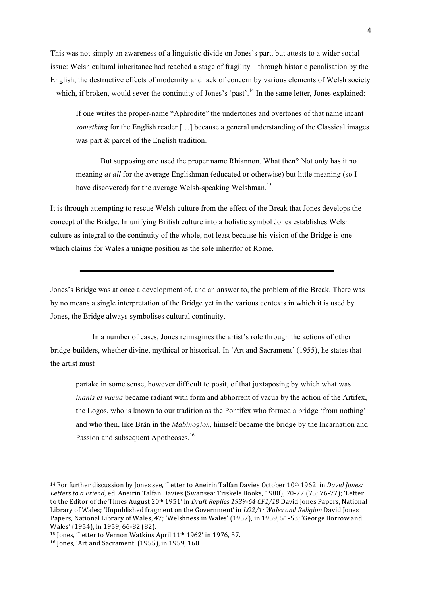This was not simply an awareness of a linguistic divide on Jones's part, but attests to a wider social issue: Welsh cultural inheritance had reached a stage of fragility – through historic penalisation by the English, the destructive effects of modernity and lack of concern by various elements of Welsh society  $-$  which, if broken, would sever the continuity of Jones's 'past'.<sup>14</sup> In the same letter, Jones explained:

If one writes the proper-name "Aphrodite" the undertones and overtones of that name incant *something* for the English reader [...] because a general understanding of the Classical images was part & parcel of the English tradition.

But supposing one used the proper name Rhiannon. What then? Not only has it no meaning *at all* for the average Englishman (educated or otherwise) but little meaning (so I have discovered) for the average Welsh-speaking Welshman.<sup>15</sup>

It is through attempting to rescue Welsh culture from the effect of the Break that Jones develops the concept of the Bridge. In unifying British culture into a holistic symbol Jones establishes Welsh culture as integral to the continuity of the whole, not least because his vision of the Bridge is one which claims for Wales a unique position as the sole inheritor of Rome.

Jones's Bridge was at once a development of, and an answer to, the problem of the Break. There was by no means a single interpretation of the Bridge yet in the various contexts in which it is used by Jones, the Bridge always symbolises cultural continuity.

In a number of cases, Jones reimagines the artist's role through the actions of other bridge-builders, whether divine, mythical or historical. In 'Art and Sacrament' (1955), he states that the artist must

partake in some sense, however difficult to posit, of that juxtaposing by which what was *inanis et vacua* became radiant with form and abhorrent of vacua by the action of the Artifex, the Logos, who is known to our tradition as the Pontifex who formed a bridge 'from nothing' and who then, like Brân in the *Mabinogion,* himself became the bridge by the Incarnation and Passion and subsequent Apotheoses.<sup>16</sup>

<u> 1989 - Jan Samuel Barbara, margaret e</u>

<sup>&</sup>lt;sup>14</sup> For further discussion by Jones see, 'Letter to Aneirin Talfan Davies October 10<sup>th</sup> 1962' in *David Jones:* Letters to a Friend, ed. Aneirin Talfan Davies (Swansea: Triskele Books, 1980), 70-77 (75; 76-77); 'Letter to the Editor of the Times August 20<sup>th</sup> 1951' in *Draft Replies* 1939-64 CF1/18 David Jones Papers, National Library of Wales; 'Unpublished fragment on the Government' in *LO2/1: Wales and Religion* David Jones Papers, National Library of Wales, 47; 'Welshness in Wales' (1957), in 1959, 51-53; 'George Borrow and Wales' (1954), in 1959, 66-82 (82).

 $15$  Jones, 'Letter to Vernon Watkins April  $11<sup>th</sup> 1962'$  in 1976, 57.

<sup>&</sup>lt;sup>16</sup> Jones, 'Art and Sacrament' (1955), in 1959, 160.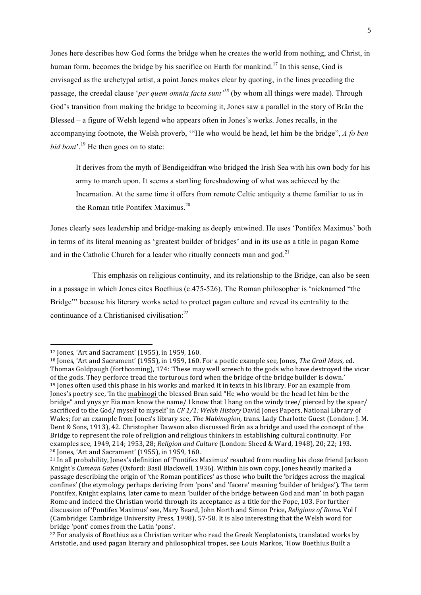Jones here describes how God forms the bridge when he creates the world from nothing, and Christ, in human form, becomes the bridge by his sacrifice on Earth for mankind.<sup>17</sup> In this sense, God is envisaged as the archetypal artist, a point Jones makes clear by quoting, in the lines preceding the passage, the creedal clause '*per quem omnia facta sunt'<sup>18</sup>* (by whom all things were made). Through God's transition from making the bridge to becoming it, Jones saw a parallel in the story of Brân the Blessed – a figure of Welsh legend who appears often in Jones's works. Jones recalls, in the accompanying footnote, the Welsh proverb, '"He who would be head, let him be the bridge", *A fo ben bid bont*<sup>'</sup>.<sup>19</sup> He then goes on to state:

It derives from the myth of Bendigeidfran who bridged the Irish Sea with his own body for his army to march upon. It seems a startling foreshadowing of what was achieved by the Incarnation. At the same time it offers from remote Celtic antiquity a theme familiar to us in the Roman title Pontifex Maximus.<sup>20</sup>

Jones clearly sees leadership and bridge-making as deeply entwined. He uses 'Pontifex Maximus' both in terms of its literal meaning as 'greatest builder of bridges' and in its use as a title in pagan Rome and in the Catholic Church for a leader who ritually connects man and god.<sup>21</sup>

This emphasis on religious continuity, and its relationship to the Bridge, can also be seen in a passage in which Jones cites Boethius (c.475-526). The Roman philosopher is 'nicknamed "the Bridge"' because his literary works acted to protect pagan culture and reveal its centrality to the continuance of a Christianised civilisation:<sup>22</sup>

<sup>&</sup>lt;sup>17</sup> Jones, 'Art and Sacrament' (1955), in 1959, 160.

 $18$  Jones, 'Art and Sacrament'  $(1955)$ , in 1959, 160. For a poetic example see, Jones, *The Grail Mass,* ed. Thomas Goldpaugh (forthcoming), 174: 'These may well screech to the gods who have destroyed the vicar of the gods. They perforce tread the torturous ford when the bridge of the bridge builder is down.' <sup>19</sup> Jones often used this phase in his works and marked it in texts in his library. For an example from Jones's poetry see, 'In the mabinogi the blessed Bran said "He who would be the head let him be the bridge" and ynys yr Eia man know the name/ I know that I hang on the windy tree/ pierced by the spear/ sacrificed to the God/ myself to myself' in *CF 1/1: Welsh History* David Jones Papers, National Library of Wales; for an example from Jones's library see, *The Mabinogion*, trans. Lady Charlotte Guest (London: J. M. Dent & Sons, 1913), 42. Christopher Dawson also discussed Brân as a bridge and used the concept of the Bridge to represent the role of religion and religious thinkers in establishing cultural continuity. For examples see, 1949, 214; 1953, 28; *Religion and Culture* (London: Sheed & Ward, 1948), 20; 22; 193. <sup>20</sup> Jones, 'Art and Sacrament' (1955), in 1959, 160.

<sup>&</sup>lt;sup>21</sup> In all probability, Jones's definition of 'Pontifex Maximus' resulted from reading his close friend Jackson Knight's *Cumean Gates* (Oxford: Basil Blackwell, 1936). Within his own copy, Jones heavily marked a passage describing the origin of 'the Roman pontifices' as those who built the 'bridges across the magical confines' (the etymology perhaps deriving from 'pons' and 'facere' meaning 'builder of bridges'). The term Pontifex, Knight explains, later came to mean 'builder of the bridge between God and man' in both pagan Rome and indeed the Christian world through its acceptance as a title for the Pope, 103. For further discussion of 'Pontifex Maximus' see, Mary Beard, John North and Simon Price, *Religions of Rome*. Vol I (Cambridge: Cambridge University Press, 1998), 57-58. It is also interesting that the Welsh word for bridge 'pont' comes from the Latin 'pons'.

 $22$  For analysis of Boethius as a Christian writer who read the Greek Neoplatonists, translated works by Aristotle, and used pagan literary and philosophical tropes, see Louis Markos, 'How Boethius Built a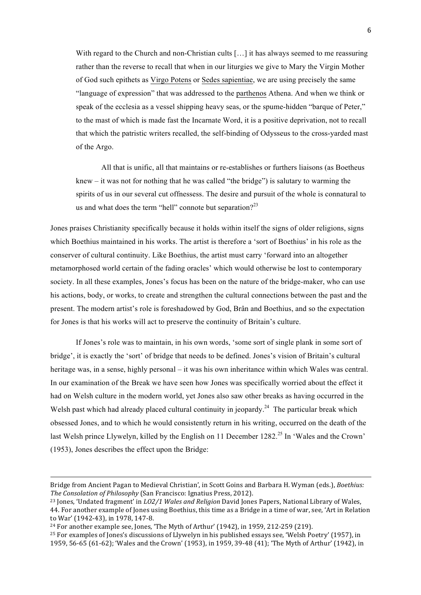With regard to the Church and non-Christian cults [...] it has always seemed to me reassuring rather than the reverse to recall that when in our liturgies we give to Mary the Virgin Mother of God such epithets as Virgo Potens or Sedes sapientiae, we are using precisely the same "language of expression" that was addressed to the parthenos Athena. And when we think or speak of the ecclesia as a vessel shipping heavy seas, or the spume-hidden "barque of Peter," to the mast of which is made fast the Incarnate Word, it is a positive deprivation, not to recall that which the patristic writers recalled, the self-binding of Odysseus to the cross-yarded mast of the Argo.

All that is unific, all that maintains or re-establishes or furthers liaisons (as Boetheus knew – it was not for nothing that he was called "the bridge") is salutary to warming the spirits of us in our several cut offnessess. The desire and pursuit of the whole is connatural to us and what does the term "hell" connote but separation? $2^3$ 

Jones praises Christianity specifically because it holds within itself the signs of older religions, signs which Boethius maintained in his works. The artist is therefore a 'sort of Boethius' in his role as the conserver of cultural continuity. Like Boethius, the artist must carry 'forward into an altogether metamorphosed world certain of the fading oracles' which would otherwise be lost to contemporary society. In all these examples, Jones's focus has been on the nature of the bridge-maker, who can use his actions, body, or works, to create and strengthen the cultural connections between the past and the present. The modern artist's role is foreshadowed by God, Brân and Boethius, and so the expectation for Jones is that his works will act to preserve the continuity of Britain's culture.

If Jones's role was to maintain, in his own words, 'some sort of single plank in some sort of bridge', it is exactly the 'sort' of bridge that needs to be defined. Jones's vision of Britain's cultural heritage was, in a sense, highly personal – it was his own inheritance within which Wales was central. In our examination of the Break we have seen how Jones was specifically worried about the effect it had on Welsh culture in the modern world, yet Jones also saw other breaks as having occurred in the Welsh past which had already placed cultural continuity in jeopardy.<sup>24</sup> The particular break which obsessed Jones, and to which he would consistently return in his writing, occurred on the death of the last Welsh prince Llywelyn, killed by the English on 11 December 1282.<sup>25</sup> In 'Wales and the Crown' (1953), Jones describes the effect upon the Bridge:

<u> 1989 - Andrea Santa Andrea Andrea Andrea Andrea Andrea Andrea Andrea Andrea Andrea Andrea Andrea Andrea Andr</u>

 $25$  For examples of Jones's discussions of Llywelyn in his published essays see, 'Welsh Poetry' (1957), in 1959, 56-65 (61-62); 'Wales and the Crown' (1953), in 1959, 39-48 (41); 'The Myth of Arthur' (1942), in

Bridge from Ancient Pagan to Medieval Christian', in Scott Goins and Barbara H. Wyman (eds.), *Boethius: The Consolation of Philosophy* (San Francisco: Ignatius Press, 2012).

<sup>&</sup>lt;sup>23</sup> Jones, 'Undated fragment' in *LO2/1 Wales and Religion* David Jones Papers, National Library of Wales, 44. For another example of Jones using Boethius, this time as a Bridge in a time of war, see, 'Art in Relation to War' (1942-43), in 1978, 147-8.

 $24$  For another example see, Jones, 'The Myth of Arthur' (1942), in 1959, 212-259 (219).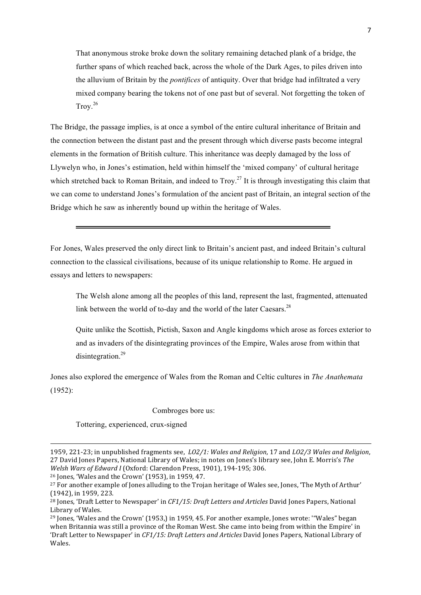That anonymous stroke broke down the solitary remaining detached plank of a bridge, the further spans of which reached back, across the whole of the Dark Ages, to piles driven into the alluvium of Britain by the *pontifices* of antiquity. Over that bridge had infiltrated a very mixed company bearing the tokens not of one past but of several. Not forgetting the token of  $Trow<sup>26</sup>$ 

The Bridge, the passage implies, is at once a symbol of the entire cultural inheritance of Britain and the connection between the distant past and the present through which diverse pasts become integral elements in the formation of British culture. This inheritance was deeply damaged by the loss of Llywelyn who, in Jones's estimation, held within himself the 'mixed company' of cultural heritage which stretched back to Roman Britain, and indeed to  $Trow<sup>27</sup>$  It is through investigating this claim that we can come to understand Jones's formulation of the ancient past of Britain, an integral section of the Bridge which he saw as inherently bound up within the heritage of Wales.

For Jones, Wales preserved the only direct link to Britain's ancient past, and indeed Britain's cultural connection to the classical civilisations, because of its unique relationship to Rome. He argued in essays and letters to newspapers:

The Welsh alone among all the peoples of this land, represent the last, fragmented, attenuated link between the world of to-day and the world of the later Caesars.<sup>28</sup>

Quite unlike the Scottish, Pictish, Saxon and Angle kingdoms which arose as forces exterior to and as invaders of the disintegrating provinces of the Empire, Wales arose from within that disintegration.<sup>29</sup>

Jones also explored the emergence of Wales from the Roman and Celtic cultures in *The Anathemata* (1952):

## Combroges bore us:

Tottering, experienced, crux-signed

<u> 1989 - Andrea Santa Andrea Andrea Andrea Andrea Andrea Andrea Andrea Andrea Andrea Andrea Andrea Andrea Andr</u>

 $26$  Jones, 'Wales and the Crown' (1953), in 1959, 47.

<sup>1959, 221-23;</sup> in unpublished fragments see, *LO2/1: Wales and Religion*, 17 and *LO2/3 Wales and Religion*, 27 David Jones Papers, National Library of Wales; in notes on Jones's library see, John E. Morris's The *Welsh Wars of Edward I* (Oxford: Clarendon Press, 1901), 194-195; 306.

<sup>&</sup>lt;sup>27</sup> For another example of Jones alluding to the Trojan heritage of Wales see, Jones, 'The Myth of Arthur' (1942), in 1959, 223.

<sup>&</sup>lt;sup>28</sup> Jones, 'Draft Letter to Newspaper' in *CF1/15: Draft Letters and Articles* David Jones Papers, National Library of Wales.

 $29$  Jones, 'Wales and the Crown' (1953.) in 1959, 45. For another example, Jones wrote: '"Wales" began when Britannia was still a province of the Roman West. She came into being from within the Empire' in 'Draft Letter to Newspaper' in *CF1/15: Draft Letters and Articles* David Jones Papers, National Library of Wales.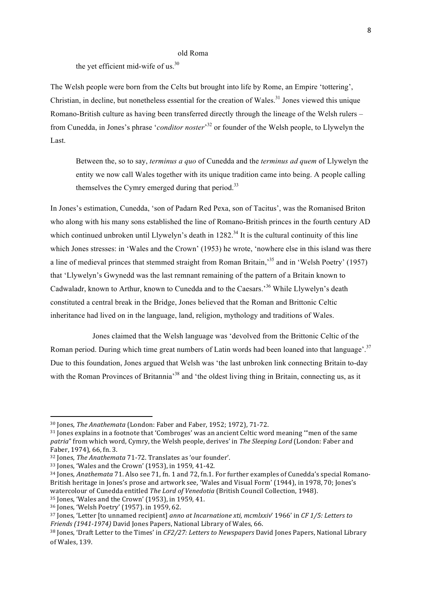## old Roma

the yet efficient mid-wife of us.<sup>30</sup>

The Welsh people were born from the Celts but brought into life by Rome, an Empire 'tottering', Christian, in decline, but nonetheless essential for the creation of Wales.<sup>31</sup> Jones viewed this unique Romano-British culture as having been transferred directly through the lineage of the Welsh rulers – from Cunedda, in Jones's phrase '*conditor noster*' <sup>32</sup> or founder of the Welsh people, to Llywelyn the Last.

Between the, so to say, *terminus a quo* of Cunedda and the *terminus ad quem* of Llywelyn the entity we now call Wales together with its unique tradition came into being. A people calling themselves the Cymry emerged during that period.<sup>33</sup>

In Jones's estimation, Cunedda, 'son of Padarn Red Pexa, son of Tacitus', was the Romanised Briton who along with his many sons established the line of Romano-British princes in the fourth century AD which continued unbroken until Llywelyn's death in  $1282<sup>34</sup>$  It is the cultural continuity of this line which Jones stresses: in 'Wales and the Crown' (1953) he wrote, 'nowhere else in this island was there a line of medieval princes that stemmed straight from Roman Britain,<sup>35</sup> and in 'Welsh Poetry' (1957) that 'Llywelyn's Gwynedd was the last remnant remaining of the pattern of a Britain known to Cadwaladr, known to Arthur, known to Cunedda and to the Caesars.<sup>36</sup> While Llywelyn's death constituted a central break in the Bridge, Jones believed that the Roman and Brittonic Celtic inheritance had lived on in the language, land, religion, mythology and traditions of Wales.

Jones claimed that the Welsh language was 'devolved from the Brittonic Celtic of the Roman period. During which time great numbers of Latin words had been loaned into that language'.<sup>37</sup> Due to this foundation, Jones argued that Welsh was 'the last unbroken link connecting Britain to-day with the Roman Provinces of Britannia<sup>38</sup> and 'the oldest living thing in Britain, connecting us, as it

<sup>&</sup>lt;sup>30</sup> Jones, *The Anathemata* (London: Faber and Faber, 1952; 1972), 71-72.

 $31$  Jones explains in a footnote that 'Combroges' was an ancient Celtic word meaning "men of the same *patria*" from which word, Cymry, the Welsh people, derives' in *The Sleeping Lord* (London: Faber and Faber, 1974), 66, fn. 3.

<sup>&</sup>lt;sup>32</sup> Jones, *The Anathemata* 71-72. Translates as 'our founder'.

<sup>33</sup> Jones, 'Wales and the Crown' (1953), in 1959, 41-42.

<sup>&</sup>lt;sup>34</sup> Jones, *Anathemata* 71. Also see 71, fn. 1 and 72, fn. 1. For further examples of Cunedda's special Romano-British heritage in Jones's prose and artwork see, 'Wales and Visual Form' (1944), in 1978, 70; Jones's watercolour of Cunedda entitled The Lord of Venedotia (British Council Collection, 1948).

 $35$  Jones, 'Wales and the Crown' (1953), in 1959, 41.

 $36$  Jones, 'Welsh Poetry' (1957). in 1959, 62.

<sup>&</sup>lt;sup>37</sup> Jones, 'Letter Ito unnamed recipient] *anno at Incarnatione xti, mcmlxxiv'* 1966' in *CF 1/5: Letters to Friends* (1941-1974) David Jones Papers, National Library of Wales, 66.

<sup>&</sup>lt;sup>38</sup> Jones, 'Draft Letter to the Times' in *CF2/27: Letters to Newspapers* David Jones Papers, National Library of Wales, 139.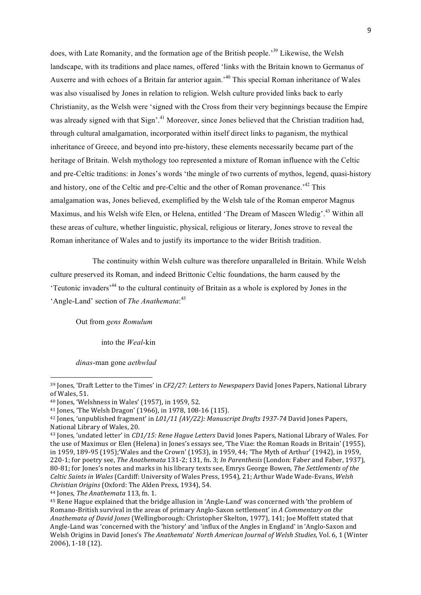does, with Late Romanity, and the formation age of the British people.<sup>39</sup> Likewise, the Welsh landscape, with its traditions and place names, offered 'links with the Britain known to Germanus of Auxerre and with echoes of a Britain far anterior again.<sup>40</sup> This special Roman inheritance of Wales was also visualised by Jones in relation to religion. Welsh culture provided links back to early Christianity, as the Welsh were 'signed with the Cross from their very beginnings because the Empire was already signed with that Sign'.<sup>41</sup> Moreover, since Jones believed that the Christian tradition had, through cultural amalgamation, incorporated within itself direct links to paganism, the mythical inheritance of Greece, and beyond into pre-history, these elements necessarily became part of the heritage of Britain. Welsh mythology too represented a mixture of Roman influence with the Celtic and pre-Celtic traditions: in Jones's words 'the mingle of two currents of mythos, legend, quasi-history and history, one of the Celtic and pre-Celtic and the other of Roman provenance.<sup>42</sup> This amalgamation was, Jones believed, exemplified by the Welsh tale of the Roman emperor Magnus Maximus, and his Welsh wife Elen, or Helena, entitled 'The Dream of Mascen Wledig'.<sup>43</sup> Within all these areas of culture, whether linguistic, physical, religious or literary, Jones strove to reveal the Roman inheritance of Wales and to justify its importance to the wider British tradition.

The continuity within Welsh culture was therefore unparalleled in Britain. While Welsh culture preserved its Roman, and indeed Brittonic Celtic foundations, the harm caused by the 'Teutonic invaders'<sup>44</sup> to the cultural continuity of Britain as a whole is explored by Jones in the 'Angle-Land' section of *The Anathemata*: 45

Out from *gens Romulum*

into the *Weal*-kin

*dinas*-man gone *aethwlad*

<sup>&</sup>lt;sup>39</sup> Jones, 'Draft Letter to the Times' in *CF2/27: Letters to Newspapers* David Jones Papers, National Library of Wales, 51.

 $40$  Jones, 'Welshness in Wales' (1957), in 1959, 52.

 $41$  Jones, 'The Welsh Dragon' (1966), in 1978, 108-16 (115).

<sup>&</sup>lt;sup>42</sup> Jones, 'unpublished fragment' in *L01/11 (AV/22): Manuscript Drafts 1937-74* David Jones Papers, National Library of Wales, 20.

<sup>&</sup>lt;sup>43</sup> Jones, 'undated letter' in *CD1/15: Rene Hague Letters* David Jones Papers, National Library of Wales. For the use of Maximus or Elen (Helena) in Jones's essays see, 'The Viae: the Roman Roads in Britain' (1955), in 1959, 189-95 (195); 'Wales and the Crown' (1953), in 1959, 44; 'The Myth of Arthur' (1942), in 1959, 220-1; for poetry see, *The Anathemata* 131-2; 131, fn. 3; *In Parenthesis* (London: Faber and Faber, 1937), 80-81; for Jones's notes and marks in his library texts see. Emrys George Bowen, *The Settlements of the* Celtic Saints in Wales (Cardiff: University of Wales Press, 1954), 21; Arthur Wade Wade-Evans, Welsh *Christian Origins* (Oxford: The Alden Press, 1934), 54.

<sup>&</sup>lt;sup>44</sup> Jones, *The Anathemata* 113, fn. 1.

<sup>&</sup>lt;sup>45</sup> Rene Hague explained that the bridge allusion in 'Angle-Land' was concerned with 'the problem of Romano-British survival in the areas of primary Anglo-Saxon settlement' in A Commentary on the *Anathemata of David Jones* (Wellingborough: Christopher Skelton, 1977), 141; Joe Moffett stated that Angle-Land was 'concerned with the 'history' and 'influx of the Angles in England' in 'Anglo-Saxon and Welsh Origins in David Jones's *The Anathemata' North American Journal of Welsh Studies*, Vol. 6, 1 (Winter 2006), 1-18 (12).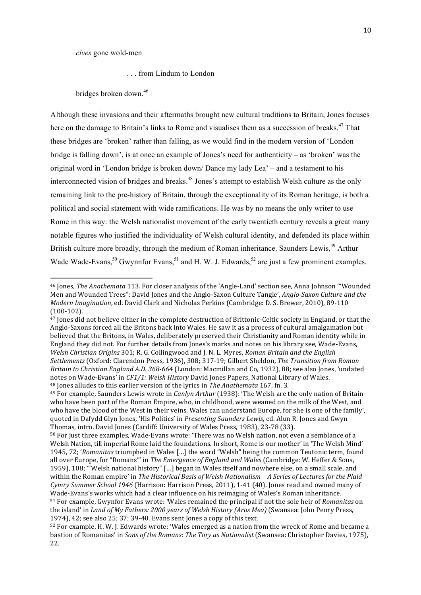. . . from Lindum to London

bridges broken down.46

<u> 1989 - Johann Stein, fransk politiker (d. 1989)</u>

Although these invasions and their aftermaths brought new cultural traditions to Britain, Jones focuses here on the damage to Britain's links to Rome and visualises them as a succession of breaks.<sup>47</sup> That these bridges are 'broken' rather than falling, as we would find in the modern version of 'London bridge is falling down', is at once an example of Jones's need for authenticity – as 'broken' was the original word in 'London bridge is broken down/ Dance my lady Lea' – and a testament to his interconnected vision of bridges and breaks.<sup>48</sup> Jones's attempt to establish Welsh culture as the only remaining link to the pre-history of Britain, through the exceptionality of its Roman heritage, is both a political and social statement with wide ramifications. He was by no means the only writer to use Rome in this way: the Welsh nationalist movement of the early twentieth century reveals a great many notable figures who justified the individuality of Welsh cultural identity, and defended its place within British culture more broadly, through the medium of Roman inheritance. Saunders Lewis,<sup>49</sup> Arthur Wade Wade-Evans,  $^{50}$  Gwynnfor Evans,  $^{51}$  and H. W. J. Edwards,  $^{52}$  are just a few prominent examples.

<sup>&</sup>lt;sup>46</sup> Jones, *The Anathemata* 113. For closer analysis of the 'Angle-Land' section see, Anna Johnson "Wounded" Men and Wounded Trees": David Jones and the Anglo-Saxon Culture Tangle', *Anglo-Saxon Culture and the Modern Imagination*, ed. David Clark and Nicholas Perkins (Cambridge: D. S. Brewer, 2010), 89-110 (100-102). 

<sup>&</sup>lt;sup>47</sup> Jones did not believe either in the complete destruction of Brittonic-Celtic society in England, or that the Anglo-Saxons forced all the Britons back into Wales. He saw it as a process of cultural amalgamation but believed that the Britons, in Wales, deliberately preserved their Christianity and Roman identity while in England they did not. For further details from Jones's marks and notes on his library see, Wade-Evans, *Welsh Christian Origins* 301; R. G. Collingwood and J. N. L. Myres, *Roman Britain and the English Settlements* (Oxford: Clarendon Press, 1936), 308; 317-19; Gilbert Sheldon, *The Transition from Roman Britain to Christian England A.D.* 368-664 (London: Macmillan and Co, 1932), 88; see also Jones, 'undated notes on Wade-Evans' in *CF1/1: Welsh History* David Jones Papers, National Library of Wales. <sup>48</sup> Jones alludes to this earlier version of the lyrics in *The Anathemata* 167, fn. 3.

<sup>&</sup>lt;sup>49</sup> For example, Saunders Lewis wrote in *Canlyn Arthur* (1938): 'The Welsh are the only nation of Britain who have been part of the Roman Empire, who, in childhood, were weaned on the milk of the West, and who have the blood of the West in their veins. Wales can understand Europe, for she is one of the family', quoted in Dafydd Glyn Jones, 'His Politics' in *Presenting Saunders Lewis*, ed. Alun R. Jones and Gwyn Thomas, intro. David Jones (Cardiff: University of Wales Press, 1983), 23-78 (33).

<sup>50</sup> For just three examples, Wade-Evans wrote: 'There was no Welsh nation, not even a semblance of a Welsh Nation, till imperial Rome laid the foundations. In short, Rome is our mother' in 'The Welsh Mind' 1945, 72; 'Romanitas triumphed in Wales [...] the word "Welsh" being the common Teutonic term, found all over Europe, for "Romans"' in *The Emergence of England and Wales* (Cambridge: W. Heffer & Sons, 1959), 108; "Welsh national history" [...] began in Wales itself and nowhere else, on a small scale, and within the Roman empire' in *The Historical Basis of Welsh Nationalism – A Series of Lectures for the Plaid Cymry Summer School 1946* (Harrison: Harrison Press, 2011), 1-41 (40). Jones read and owned many of Wade-Evans's works which had a clear influence on his reimaging of Wales's Roman inheritance. 51 For example, Gwynfor Evans wrote: 'Wales remained the principal if not the sole heir of *Romanitas* on

the island' in *Land of My Fathers: 2000 years of Welsh History (Aros Mea)* (Swansea: John Penry Press, 1974), 42; see also 25; 37; 39-40. Evans sent Jones a copy of this text.

<sup>52</sup> For example, H. W. J. Edwards wrote: 'Wales emerged as a nation from the wreck of Rome and became a bastion of Romanitas' in *Sons of the Romans: The Tory as Nationalist* (Swansea: Christopher Davies, 1975), 22.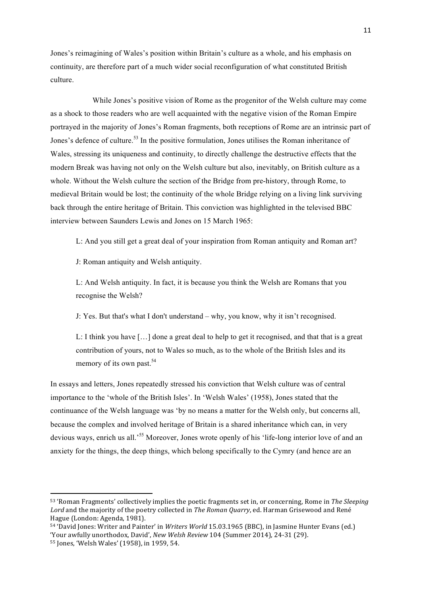Jones's reimagining of Wales's position within Britain's culture as a whole, and his emphasis on continuity, are therefore part of a much wider social reconfiguration of what constituted British culture.

While Jones's positive vision of Rome as the progenitor of the Welsh culture may come as a shock to those readers who are well acquainted with the negative vision of the Roman Empire portrayed in the majority of Jones's Roman fragments, both receptions of Rome are an intrinsic part of Jones's defence of culture.<sup>53</sup> In the positive formulation, Jones utilises the Roman inheritance of Wales, stressing its uniqueness and continuity, to directly challenge the destructive effects that the modern Break was having not only on the Welsh culture but also, inevitably, on British culture as a whole. Without the Welsh culture the section of the Bridge from pre-history, through Rome, to medieval Britain would be lost; the continuity of the whole Bridge relying on a living link surviving back through the entire heritage of Britain. This conviction was highlighted in the televised BBC interview between Saunders Lewis and Jones on 15 March 1965:

L: And you still get a great deal of your inspiration from Roman antiquity and Roman art?

J: Roman antiquity and Welsh antiquity.

L: And Welsh antiquity. In fact, it is because you think the Welsh are Romans that you recognise the Welsh?

J: Yes. But that's what I don't understand – why, you know, why it isn't recognised.

L: I think you have […] done a great deal to help to get it recognised, and that that is a great contribution of yours, not to Wales so much, as to the whole of the British Isles and its memory of its own past.<sup>54</sup>

In essays and letters, Jones repeatedly stressed his conviction that Welsh culture was of central importance to the 'whole of the British Isles'. In 'Welsh Wales' (1958), Jones stated that the continuance of the Welsh language was 'by no means a matter for the Welsh only, but concerns all, because the complex and involved heritage of Britain is a shared inheritance which can, in very devious ways, enrich us all.<sup>55</sup> Moreover, Jones wrote openly of his 'life-long interior love of and an anxiety for the things, the deep things, which belong specifically to the Cymry (and hence are an

<sup>53 &#</sup>x27;Roman Fragments' collectively implies the poetic fragments set in, or concerning, Rome in *The Sleeping* Lord and the majority of the poetry collected in *The Roman Quarry*, ed. Harman Grisewood and René Hague (London: Agenda, 1981).

<sup>54 &#</sup>x27;David Jones: Writer and Painter' in *Writers World* 15.03.1965 (BBC), in Jasmine Hunter Evans (ed.) 'Your awfully unorthodox, David', *New Welsh Review* 104 (Summer 2014), 24-31 (29).

<sup>55</sup> Jones, 'Welsh Wales' (1958), in 1959, 54.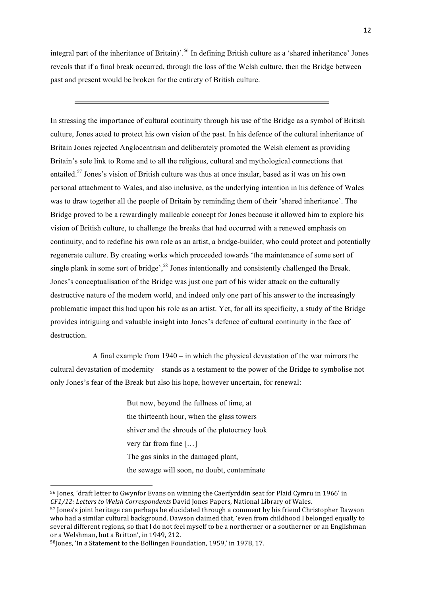integral part of the inheritance of Britain)'.<sup>56</sup> In defining British culture as a 'shared inheritance' Jones reveals that if a final break occurred, through the loss of the Welsh culture, then the Bridge between past and present would be broken for the entirety of British culture.

In stressing the importance of cultural continuity through his use of the Bridge as a symbol of British culture, Jones acted to protect his own vision of the past. In his defence of the cultural inheritance of Britain Jones rejected Anglocentrism and deliberately promoted the Welsh element as providing Britain's sole link to Rome and to all the religious, cultural and mythological connections that entailed.<sup>57</sup> Jones's vision of British culture was thus at once insular, based as it was on his own personal attachment to Wales, and also inclusive, as the underlying intention in his defence of Wales was to draw together all the people of Britain by reminding them of their 'shared inheritance'. The Bridge proved to be a rewardingly malleable concept for Jones because it allowed him to explore his vision of British culture, to challenge the breaks that had occurred with a renewed emphasis on continuity, and to redefine his own role as an artist, a bridge-builder, who could protect and potentially regenerate culture. By creating works which proceeded towards 'the maintenance of some sort of single plank in some sort of bridge',<sup>58</sup> Jones intentionally and consistently challenged the Break. Jones's conceptualisation of the Bridge was just one part of his wider attack on the culturally destructive nature of the modern world, and indeed only one part of his answer to the increasingly problematic impact this had upon his role as an artist. Yet, for all its specificity, a study of the Bridge provides intriguing and valuable insight into Jones's defence of cultural continuity in the face of destruction.

A final example from 1940 – in which the physical devastation of the war mirrors the cultural devastation of modernity – stands as a testament to the power of the Bridge to symbolise not only Jones's fear of the Break but also his hope, however uncertain, for renewal:

> But now, beyond the fullness of time, at the thirteenth hour, when the glass towers shiver and the shrouds of the plutocracy look very far from fine […] The gas sinks in the damaged plant, the sewage will soon, no doubt, contaminate

<sup>56</sup> Jones, 'draft letter to Gwynfor Evans on winning the Caerfyrddin seat for Plaid Cymru in 1966' in *CF1/12: Letters to Welsh Correspondents* David Jones Papers, National Library of Wales.

<sup>57</sup> Jones's joint heritage can perhaps be elucidated through a comment by his friend Christopher Dawson who had a similar cultural background. Dawson claimed that, 'even from childhood I belonged equally to several different regions, so that I do not feel myself to be a northerner or a southerner or an Englishman or a Welshman, but a Britton', in 1949, 212.

<sup>58</sup>Jones, 'In a Statement to the Bollingen Foundation, 1959,' in 1978, 17.